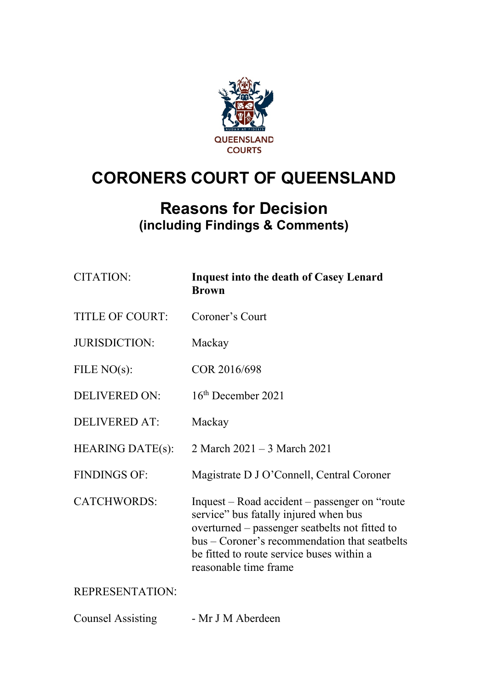

# **CORONERS COURT OF QUEENSLAND**

## **Reasons for Decision (including Findings & Comments)**

| <b>CITATION:</b>        | <b>Inquest into the death of Casey Lenard</b><br><b>Brown</b>                                                                                                                                                                                                    |
|-------------------------|------------------------------------------------------------------------------------------------------------------------------------------------------------------------------------------------------------------------------------------------------------------|
| <b>TITLE OF COURT:</b>  | Coroner's Court                                                                                                                                                                                                                                                  |
| <b>JURISDICTION:</b>    | Mackay                                                                                                                                                                                                                                                           |
| FILE $NO(s)$ :          | COR 2016/698                                                                                                                                                                                                                                                     |
| <b>DELIVERED ON:</b>    | $16th$ December 2021                                                                                                                                                                                                                                             |
| <b>DELIVERED AT:</b>    | Mackay                                                                                                                                                                                                                                                           |
| <b>HEARING DATE(s):</b> | 2 March 2021 – 3 March 2021                                                                                                                                                                                                                                      |
| <b>FINDINGS OF:</b>     | Magistrate D J O'Connell, Central Coroner                                                                                                                                                                                                                        |
| <b>CATCHWORDS:</b>      | Inquest – Road accident – passenger on "route"<br>service" bus fatally injured when bus<br>overturned – passenger seatbelts not fitted to<br>bus – Coroner's recommendation that seatbelts<br>be fitted to route service buses within a<br>reasonable time frame |
| <b>REPRESENTATION:</b>  |                                                                                                                                                                                                                                                                  |

Counsel Assisting - Mr J M Aberdeen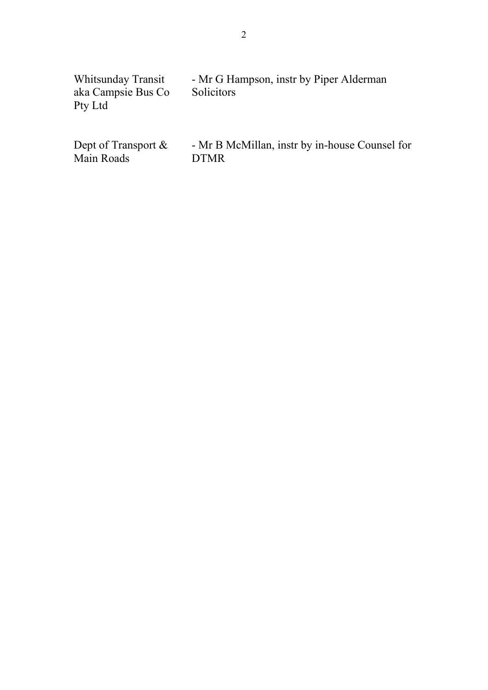| Whitsunday Transit | - Mr G Hampson, instr by Piper Alderman |
|--------------------|-----------------------------------------|
| aka Campsie Bus Co | Solicitors                              |
| Pty Ltd            |                                         |
|                    |                                         |
|                    |                                         |

Dept of Transport &<br>Main Roads

- Mr B McMillan, instr by in-house Counsel for DTMR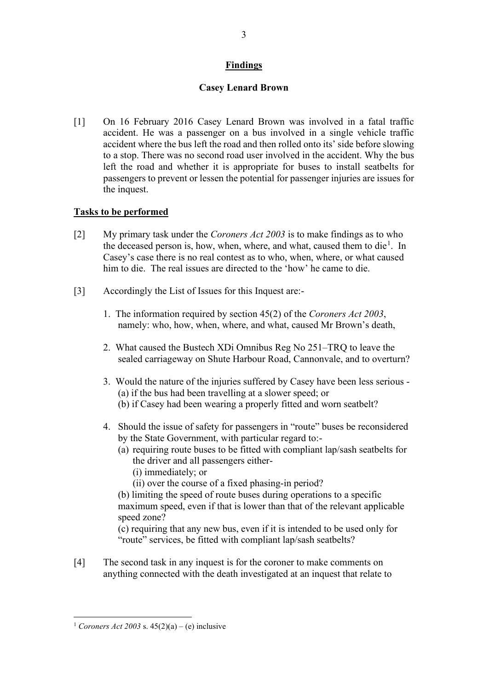## **Findings**

## **Casey Lenard Brown**

[1] On 16 February 2016 Casey Lenard Brown was involved in a fatal traffic accident. He was a passenger on a bus involved in a single vehicle traffic accident where the bus left the road and then rolled onto its' side before slowing to a stop. There was no second road user involved in the accident. Why the bus left the road and whether it is appropriate for buses to install seatbelts for passengers to prevent or lessen the potential for passenger injuries are issues for the inquest.

## **Tasks to be performed**

- [2] My primary task under the *Coroners Act 2003* is to make findings as to who the deceased person is, how, when, where, and what, caused them to die<sup>[1](#page-2-0)</sup>. In Casey's case there is no real contest as to who, when, where, or what caused him to die. The real issues are directed to the 'how' he came to die.
- [3] Accordingly the List of Issues for this Inquest are:-
	- 1. The information required by section 45(2) of the *Coroners Act 2003*, namely: who, how, when, where, and what, caused Mr Brown's death,
	- 2. What caused the Bustech XDi Omnibus Reg No 251–TRQ to leave the sealed carriageway on Shute Harbour Road, Cannonvale, and to overturn?
	- 3. Would the nature of the injuries suffered by Casey have been less serious (a) if the bus had been travelling at a slower speed; or (b) if Casey had been wearing a properly fitted and worn seatbelt?
	- 4. Should the issue of safety for passengers in "route" buses be reconsidered by the State Government, with particular regard to:-
		- (a) requiring route buses to be fitted with compliant lap/sash seatbelts for the driver and all passengers either-
			- (i) immediately; or
			- (ii) over the course of a fixed phasing-in period?

(b) limiting the speed of route buses during operations to a specific maximum speed, even if that is lower than that of the relevant applicable speed zone?

(c) requiring that any new bus, even if it is intended to be used only for "route" services, be fitted with compliant lap/sash seatbelts?

[4] The second task in any inquest is for the coroner to make comments on anything connected with the death investigated at an inquest that relate to

<span id="page-2-0"></span><sup>&</sup>lt;sup>1</sup> *Coroners Act 2003* s.  $45(2)(a) - (e)$  inclusive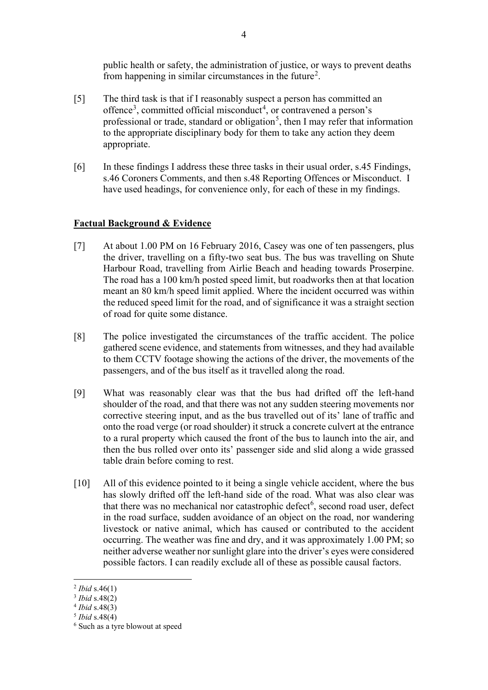public health or safety, the administration of justice, or ways to prevent deaths from happening in similar circumstances in the future<sup>[2](#page-3-0)</sup>.

- [5] The third task is that if I reasonably suspect a person has committed an offence<sup>[3](#page-3-1)</sup>, committed official misconduct<sup>[4](#page-3-2)</sup>, or contravened a person's professional or trade, standard or obligation<sup>[5](#page-3-3)</sup>, then I may refer that information to the appropriate disciplinary body for them to take any action they deem appropriate.
- [6] In these findings I address these three tasks in their usual order, s.45 Findings, s.46 Coroners Comments, and then s.48 Reporting Offences or Misconduct. I have used headings, for convenience only, for each of these in my findings.

## **Factual Background & Evidence**

- [7] At about 1.00 PM on 16 February 2016, Casey was one of ten passengers, plus the driver, travelling on a fifty-two seat bus. The bus was travelling on Shute Harbour Road, travelling from Airlie Beach and heading towards Proserpine. The road has a 100 km/h posted speed limit, but roadworks then at that location meant an 80 km/h speed limit applied. Where the incident occurred was within the reduced speed limit for the road, and of significance it was a straight section of road for quite some distance.
- [8] The police investigated the circumstances of the traffic accident. The police gathered scene evidence, and statements from witnesses, and they had available to them CCTV footage showing the actions of the driver, the movements of the passengers, and of the bus itself as it travelled along the road.
- [9] What was reasonably clear was that the bus had drifted off the left-hand shoulder of the road, and that there was not any sudden steering movements nor corrective steering input, and as the bus travelled out of its' lane of traffic and onto the road verge (or road shoulder) it struck a concrete culvert at the entrance to a rural property which caused the front of the bus to launch into the air, and then the bus rolled over onto its' passenger side and slid along a wide grassed table drain before coming to rest.
- [10] All of this evidence pointed to it being a single vehicle accident, where the bus has slowly drifted off the left-hand side of the road. What was also clear was that there was no mechanical nor catastrophic defect<sup>[6](#page-3-4)</sup>, second road user, defect in the road surface, sudden avoidance of an object on the road, nor wandering livestock or native animal, which has caused or contributed to the accident occurring. The weather was fine and dry, and it was approximately 1.00 PM; so neither adverse weather nor sunlight glare into the driver's eyes were considered possible factors. I can readily exclude all of these as possible causal factors.

<span id="page-3-0"></span><sup>2</sup> *Ibid* s.46(1)

<span id="page-3-1"></span><sup>3</sup> *Ibid* s.48(2)

<sup>4</sup> *Ibid* s.48(3)

<span id="page-3-3"></span><span id="page-3-2"></span><sup>5</sup> *Ibid* s.48(4)

<span id="page-3-4"></span><sup>6</sup> Such as a tyre blowout at speed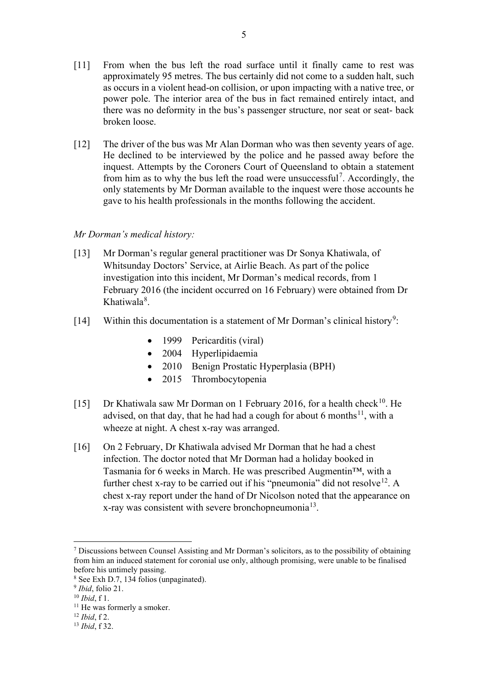- [11] From when the bus left the road surface until it finally came to rest was approximately 95 metres. The bus certainly did not come to a sudden halt, such as occurs in a violent head-on collision, or upon impacting with a native tree, or power pole. The interior area of the bus in fact remained entirely intact, and there was no deformity in the bus's passenger structure, nor seat or seat- back broken loose.
- [12] The driver of the bus was Mr Alan Dorman who was then seventy years of age. He declined to be interviewed by the police and he passed away before the inquest. Attempts by the Coroners Court of Queensland to obtain a statement from him as to why the bus left the road were unsuccessful<sup>[7](#page-4-0)</sup>. Accordingly, the only statements by Mr Dorman available to the inquest were those accounts he gave to his health professionals in the months following the accident.

#### *Mr Dorman's medical history:*

- [13] Mr Dorman's regular general practitioner was Dr Sonya Khatiwala, of Whitsunday Doctors' Service, at Airlie Beach. As part of the police investigation into this incident, Mr Dorman's medical records, from 1 February 2016 (the incident occurred on 16 February) were obtained from Dr Khatiwala<sup>[8](#page-4-1)</sup>.
- [14] Within this documentation is a statement of Mr Dorman's clinical history<sup>[9](#page-4-2)</sup>:
	- 1999 Pericarditis (viral)
	- 2004 Hyperlipidaemia
	- 2010 Benign Prostatic Hyperplasia (BPH)
	- 2015 Thrombocytopenia
- [15] Dr Khatiwala saw Mr Dorman on 1 February 2016, for a health check<sup>[10](#page-4-3)</sup>. He advised, on that day, that he had had a cough for about 6 months<sup>[11](#page-4-4)</sup>, with a wheeze at night. A chest x-ray was arranged.
- [16] On 2 February, Dr Khatiwala advised Mr Dorman that he had a chest infection. The doctor noted that Mr Dorman had a holiday booked in Tasmania for 6 weeks in March. He was prescribed Augmentin™, with a further chest x-ray to be carried out if his "pneumonia" did not resolve<sup>[12](#page-4-5)</sup>. A chest x-ray report under the hand of Dr Nicolson noted that the appearance on x-ray was consistent with severe bronchopneumonia<sup>[13](#page-4-6)</sup>.

<span id="page-4-0"></span><sup>7</sup> Discussions between Counsel Assisting and Mr Dorman's solicitors, as to the possibility of obtaining from him an induced statement for coronial use only, although promising, were unable to be finalised before his untimely passing.

<span id="page-4-1"></span><sup>8</sup> See Exh D.7, 134 folios (unpaginated).

<span id="page-4-2"></span><sup>9</sup> *Ibid*, folio 21.

<span id="page-4-3"></span><sup>10</sup> *Ibid*, f 1.

<span id="page-4-4"></span> $11$  He was formerly a smoker.

<sup>12</sup> *Ibid*, f 2.

<span id="page-4-6"></span><span id="page-4-5"></span><sup>13</sup> *Ibid*, f 32.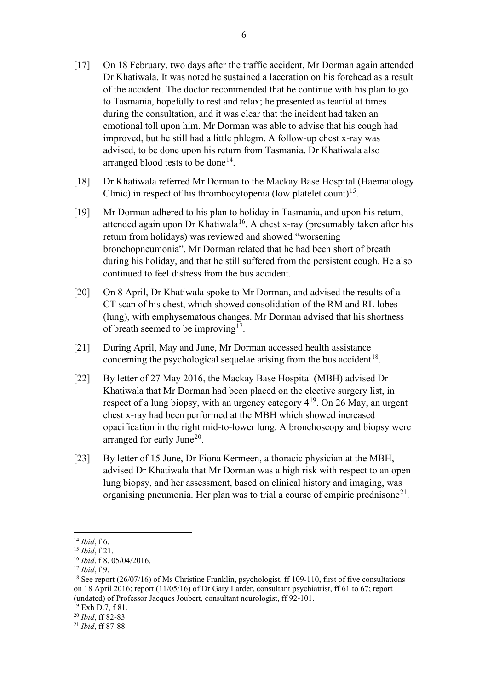- [17] On 18 February, two days after the traffic accident, Mr Dorman again attended Dr Khatiwala. It was noted he sustained a laceration on his forehead as a result of the accident. The doctor recommended that he continue with his plan to go to Tasmania, hopefully to rest and relax; he presented as tearful at times during the consultation, and it was clear that the incident had taken an emotional toll upon him. Mr Dorman was able to advise that his cough had improved, but he still had a little phlegm. A follow-up chest x-ray was advised, to be done upon his return from Tasmania. Dr Khatiwala also arranged blood tests to be done<sup>[14](#page-5-0)</sup>.
- [18] Dr Khatiwala referred Mr Dorman to the Mackay Base Hospital (Haematology Clinic) in respect of his thrombocytopenia (low platelet count)<sup>15</sup>.
- [19] Mr Dorman adhered to his plan to holiday in Tasmania, and upon his return, attended again upon Dr Khatiwala<sup>[16](#page-5-2)</sup>. A chest x-ray (presumably taken after his return from holidays) was reviewed and showed "worsening bronchopneumonia". Mr Dorman related that he had been short of breath during his holiday, and that he still suffered from the persistent cough. He also continued to feel distress from the bus accident.
- [20] On 8 April, Dr Khatiwala spoke to Mr Dorman, and advised the results of a CT scan of his chest, which showed consolidation of the RM and RL lobes (lung), with emphysematous changes. Mr Dorman advised that his shortness of breath seemed to be improving<sup>[17](#page-5-3)</sup>.
- [21] During April, May and June, Mr Dorman accessed health assistance concerning the psychological sequelae arising from the bus accident<sup>18</sup>.
- [22] By letter of 27 May 2016, the Mackay Base Hospital (MBH) advised Dr Khatiwala that Mr Dorman had been placed on the elective surgery list, in respect of a lung biopsy, with an urgency category  $4^{19}$ . On 26 May, an urgent chest x-ray had been performed at the MBH which showed increased opacification in the right mid-to-lower lung. A bronchoscopy and biopsy were arranged for early June<sup>20</sup>.
- [23] By letter of 15 June, Dr Fiona Kermeen, a thoracic physician at the MBH, advised Dr Khatiwala that Mr Dorman was a high risk with respect to an open lung biopsy, and her assessment, based on clinical history and imaging, was organising pneumonia. Her plan was to trial a course of empiric prednisone<sup>21</sup>.

<span id="page-5-0"></span><sup>14</sup> *Ibid*, f 6.

<span id="page-5-1"></span><sup>15</sup> *Ibid*, f 21.

<sup>16</sup> *Ibid*, f 8, 05/04/2016.

<span id="page-5-3"></span><span id="page-5-2"></span><sup>17</sup> *Ibid*, f 9.

<span id="page-5-4"></span><sup>&</sup>lt;sup>18</sup> See report (26/07/16) of Ms Christine Franklin, psychologist, ff 109-110, first of five consultations on 18 April 2016; report (11/05/16) of Dr Gary Larder, consultant psychiatrist, ff 61 to 67; report (undated) of Professor Jacques Joubert, consultant neurologist, ff 92-101.

 $19$  Exh D.7, f 81.

<span id="page-5-6"></span><span id="page-5-5"></span><sup>20</sup> *Ibid*, ff 82-83.

<span id="page-5-7"></span><sup>21</sup> *Ibid*, ff 87-88.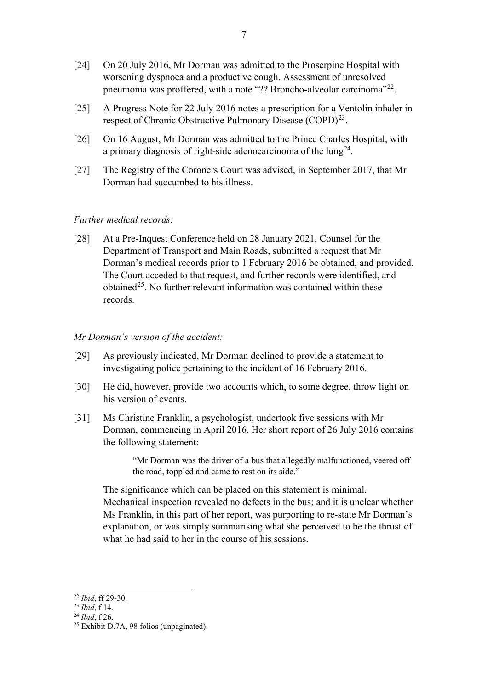- [24] On 20 July 2016, Mr Dorman was admitted to the Proserpine Hospital with worsening dyspnoea and a productive cough. Assessment of unresolved pneumonia was proffered, with a note "?? Broncho-alveolar carcinoma"<sup>22</sup>.
- [25] A Progress Note for 22 July 2016 notes a prescription for a Ventolin inhaler in respect of Chronic Obstructive Pulmonary Disease (COPD)<sup>[23](#page-6-1)</sup>.
- [26] On 16 August, Mr Dorman was admitted to the Prince Charles Hospital, with a primary diagnosis of right-side adenocarcinoma of the  $\text{lung}^{24}$ .
- [27] The Registry of the Coroners Court was advised, in September 2017, that Mr Dorman had succumbed to his illness.

### *Further medical records:*

[28] At a Pre-Inquest Conference held on 28 January 2021, Counsel for the Department of Transport and Main Roads, submitted a request that Mr Dorman's medical records prior to 1 February 2016 be obtained, and provided. The Court acceded to that request, and further records were identified, and obtained<sup>[25](#page-6-3)</sup>. No further relevant information was contained within these records.

#### *Mr Dorman's version of the accident:*

- [29] As previously indicated, Mr Dorman declined to provide a statement to investigating police pertaining to the incident of 16 February 2016.
- [30] He did, however, provide two accounts which, to some degree, throw light on his version of events.
- [31] Ms Christine Franklin, a psychologist, undertook five sessions with Mr Dorman, commencing in April 2016. Her short report of 26 July 2016 contains the following statement:

"Mr Dorman was the driver of a bus that allegedly malfunctioned, veered off the road, toppled and came to rest on its side."

The significance which can be placed on this statement is minimal. Mechanical inspection revealed no defects in the bus; and it is unclear whether Ms Franklin, in this part of her report, was purporting to re-state Mr Dorman's explanation, or was simply summarising what she perceived to be the thrust of what he had said to her in the course of his sessions.

<span id="page-6-0"></span><sup>22</sup> *Ibid*, ff 29-30.

<span id="page-6-1"></span><sup>23</sup> *Ibid*, f 14.

<span id="page-6-2"></span><sup>24</sup> *Ibid*, f 26.

<span id="page-6-3"></span> $25$  Exhibit D.7A, 98 folios (unpaginated).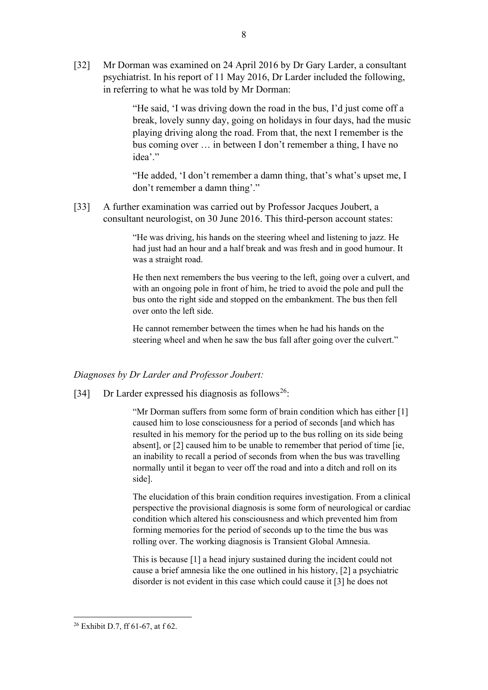[32] Mr Dorman was examined on 24 April 2016 by Dr Gary Larder, a consultant psychiatrist. In his report of 11 May 2016, Dr Larder included the following, in referring to what he was told by Mr Dorman:

> "He said, 'I was driving down the road in the bus, I'd just come off a break, lovely sunny day, going on holidays in four days, had the music playing driving along the road. From that, the next I remember is the bus coming over … in between I don't remember a thing, I have no idea'."

"He added, 'I don't remember a damn thing, that's what's upset me, I don't remember a damn thing'."

[33] A further examination was carried out by Professor Jacques Joubert, a consultant neurologist, on 30 June 2016. This third-person account states:

> "He was driving, his hands on the steering wheel and listening to jazz. He had just had an hour and a half break and was fresh and in good humour. It was a straight road.

He then next remembers the bus veering to the left, going over a culvert, and with an ongoing pole in front of him, he tried to avoid the pole and pull the bus onto the right side and stopped on the embankment. The bus then fell over onto the left side.

He cannot remember between the times when he had his hands on the steering wheel and when he saw the bus fall after going over the culvert."

#### *Diagnoses by Dr Larder and Professor Joubert:*

[34] Dr Larder expressed his diagnosis as follows<sup>26</sup>:

"Mr Dorman suffers from some form of brain condition which has either [1] caused him to lose consciousness for a period of seconds [and which has resulted in his memory for the period up to the bus rolling on its side being absent], or [2] caused him to be unable to remember that period of time [ie, an inability to recall a period of seconds from when the bus was travelling normally until it began to veer off the road and into a ditch and roll on its side].

The elucidation of this brain condition requires investigation. From a clinical perspective the provisional diagnosis is some form of neurological or cardiac condition which altered his consciousness and which prevented him from forming memories for the period of seconds up to the time the bus was rolling over. The working diagnosis is Transient Global Amnesia.

This is because [1] a head injury sustained during the incident could not cause a brief amnesia like the one outlined in his history, [2] a psychiatric disorder is not evident in this case which could cause it [3] he does not

<span id="page-7-0"></span><sup>26</sup> Exhibit D.7, ff 61-67, at f 62.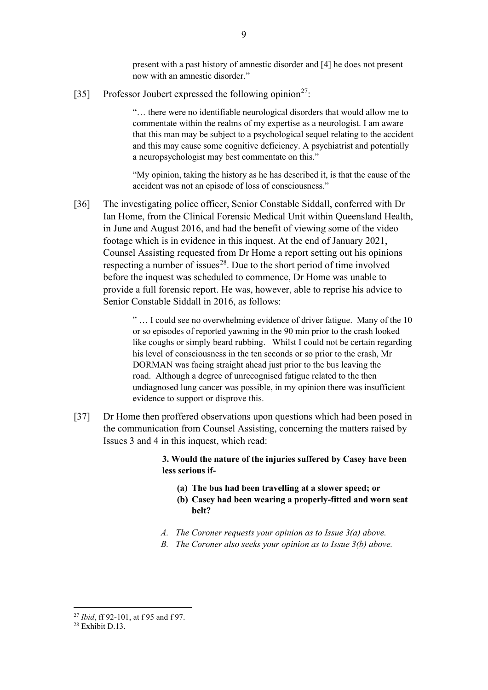present with a past history of amnestic disorder and [4] he does not present now with an amnestic disorder."

[35] Professor Joubert expressed the following opinion<sup>27</sup>:

"… there were no identifiable neurological disorders that would allow me to commentate within the realms of my expertise as a neurologist. I am aware that this man may be subject to a psychological sequel relating to the accident and this may cause some cognitive deficiency. A psychiatrist and potentially a neuropsychologist may best commentate on this."

"My opinion, taking the history as he has described it, is that the cause of the accident was not an episode of loss of consciousness."

[36] The investigating police officer, Senior Constable Siddall, conferred with Dr Ian Home, from the Clinical Forensic Medical Unit within Queensland Health, in June and August 2016, and had the benefit of viewing some of the video footage which is in evidence in this inquest. At the end of January 2021, Counsel Assisting requested from Dr Home a report setting out his opinions respecting a number of issues<sup>28</sup>. Due to the short period of time involved before the inquest was scheduled to commence, Dr Home was unable to provide a full forensic report. He was, however, able to reprise his advice to Senior Constable Siddall in 2016, as follows:

> " … I could see no overwhelming evidence of driver fatigue. Many of the 10 or so episodes of reported yawning in the 90 min prior to the crash looked like coughs or simply beard rubbing. Whilst I could not be certain regarding his level of consciousness in the ten seconds or so prior to the crash, Mr DORMAN was facing straight ahead just prior to the bus leaving the road. Although a degree of unrecognised fatigue related to the then undiagnosed lung cancer was possible, in my opinion there was insufficient evidence to support or disprove this.

[37] Dr Home then proffered observations upon questions which had been posed in the communication from Counsel Assisting, concerning the matters raised by Issues 3 and 4 in this inquest, which read:

> **3. Would the nature of the injuries suffered by Casey have been less serious if-**

- **(a) The bus had been travelling at a slower speed; or**
- **(b) Casey had been wearing a properly-fitted and worn seat belt?**
- *A. The Coroner requests your opinion as to Issue 3(a) above.*
- *B. The Coroner also seeks your opinion as to Issue 3(b) above.*

<span id="page-8-0"></span><sup>27</sup> *Ibid*, ff 92-101, at f 95 and f 97.

<span id="page-8-1"></span> $28$  Exhibit D 13.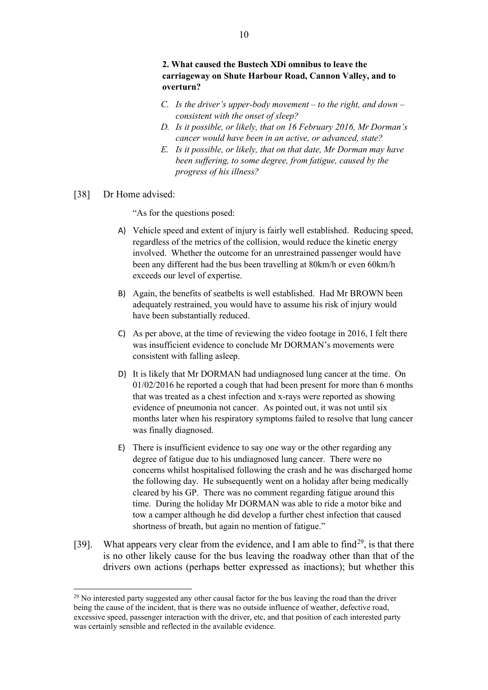- *C. Is the driver's upper-body movement – to the right, and down – consistent with the onset of sleep?*
- *D. Is it possible, or likely, that on 16 February 2016, Mr Dorman's cancer would have been in an active, or advanced, state?*
- *E. Is it possible, or likely, that on that date, Mr Dorman may have been suffering, to some degree, from fatigue, caused by the progress of his illness?*
- [38] Dr Home advised:

"As for the questions posed:

- A) Vehicle speed and extent of injury is fairly well established. Reducing speed, regardless of the metrics of the collision, would reduce the kinetic energy involved. Whether the outcome for an unrestrained passenger would have been any different had the bus been travelling at 80km/h or even 60km/h exceeds our level of expertise.
- B) Again, the benefits of seatbelts is well established. Had Mr BROWN been adequately restrained, you would have to assume his risk of injury would have been substantially reduced.
- C) As per above, at the time of reviewing the video footage in 2016, I felt there was insufficient evidence to conclude Mr DORMAN's movements were consistent with falling asleep.
- D) It is likely that Mr DORMAN had undiagnosed lung cancer at the time. On 01/02/2016 he reported a cough that had been present for more than 6 months that was treated as a chest infection and x-rays were reported as showing evidence of pneumonia not cancer. As pointed out, it was not until six months later when his respiratory symptoms failed to resolve that lung cancer was finally diagnosed.
- E) There is insufficient evidence to say one way or the other regarding any degree of fatigue due to his undiagnosed lung cancer. There were no concerns whilst hospitalised following the crash and he was discharged home the following day. He subsequently went on a holiday after being medically cleared by his GP. There was no comment regarding fatigue around this time. During the holiday Mr DORMAN was able to ride a motor bike and tow a camper although he did develop a further chest infection that caused shortness of breath, but again no mention of fatigue."
- [39]. What appears very clear from the evidence, and I am able to find<sup>[29](#page-9-0)</sup>, is that there is no other likely cause for the bus leaving the roadway other than that of the drivers own actions (perhaps better expressed as inactions); but whether this

<span id="page-9-0"></span> $^{29}$  No interested party suggested any other causal factor for the bus leaving the road than the driver being the cause of the incident, that is there was no outside influence of weather, defective road, excessive speed, passenger interaction with the driver, etc, and that position of each interested party was certainly sensible and reflected in the available evidence.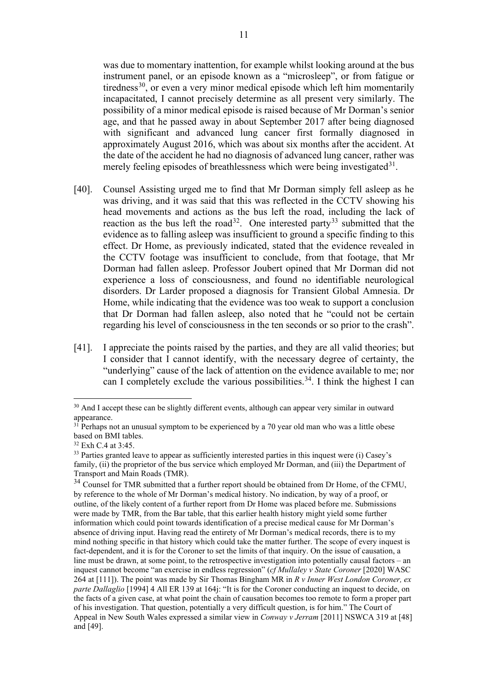was due to momentary inattention, for example whilst looking around at the bus instrument panel, or an episode known as a "microsleep", or from fatigue or tiredness<sup>[30](#page-10-0)</sup>, or even a very minor medical episode which left him momentarily incapacitated, I cannot precisely determine as all present very similarly. The possibility of a minor medical episode is raised because of Mr Dorman's senior age, and that he passed away in about September 2017 after being diagnosed with significant and advanced lung cancer first formally diagnosed in approximately August 2016, which was about six months after the accident. At the date of the accident he had no diagnosis of advanced lung cancer, rather was merely feeling episodes of breathlessness which were being investigated  $31$ .

- [40]. Counsel Assisting urged me to find that Mr Dorman simply fell asleep as he was driving, and it was said that this was reflected in the CCTV showing his head movements and actions as the bus left the road, including the lack of reaction as the bus left the road<sup>[32](#page-10-2)</sup>. One interested party<sup>[33](#page-10-3)</sup> submitted that the evidence as to falling asleep was insufficient to ground a specific finding to this effect. Dr Home, as previously indicated, stated that the evidence revealed in the CCTV footage was insufficient to conclude, from that footage, that Mr Dorman had fallen asleep. Professor Joubert opined that Mr Dorman did not experience a loss of consciousness, and found no identifiable neurological disorders. Dr Larder proposed a diagnosis for Transient Global Amnesia. Dr Home, while indicating that the evidence was too weak to support a conclusion that Dr Dorman had fallen asleep, also noted that he "could not be certain regarding his level of consciousness in the ten seconds or so prior to the crash".
- [41]. I appreciate the points raised by the parties, and they are all valid theories; but I consider that I cannot identify, with the necessary degree of certainty, the "underlying" cause of the lack of attention on the evidence available to me; nor can I completely exclude the various possibilities.<sup>[34](#page-10-4)</sup>. I think the highest I can

<span id="page-10-0"></span><sup>&</sup>lt;sup>30</sup> And I accept these can be slightly different events, although can appear very similar in outward appearance.

<span id="page-10-1"></span> $3\overline{1}$  Perhaps not an unusual symptom to be experienced by a 70 year old man who was a little obese based on BMI tables.

<span id="page-10-2"></span><sup>&</sup>lt;sup>32</sup> Exh C.4 at 3:45.

<span id="page-10-3"></span><sup>&</sup>lt;sup>33</sup> Parties granted leave to appear as sufficiently interested parties in this inquest were (i) Casey's family, (ii) the proprietor of the bus service which employed Mr Dorman, and (iii) the Department of Transport and Main Roads (TMR).

<span id="page-10-4"></span><sup>&</sup>lt;sup>34</sup> Counsel for TMR submitted that a further report should be obtained from Dr Home, of the CFMU, by reference to the whole of Mr Dorman's medical history. No indication, by way of a proof, or outline, of the likely content of a further report from Dr Home was placed before me. Submissions were made by TMR, from the Bar table, that this earlier health history might yield some further information which could point towards identification of a precise medical cause for Mr Dorman's absence of driving input. Having read the entirety of Mr Dorman's medical records, there is to my mind nothing specific in that history which could take the matter further. The scope of every inquest is fact-dependent, and it is for the Coroner to set the limits of that inquiry. On the issue of causation, a line must be drawn, at some point, to the retrospective investigation into potentially causal factors – an inquest cannot become "an exercise in endless regression" (*cf Mullaley v State Coroner* [2020] WASC 264 at [111]). The point was made by Sir Thomas Bingham MR in *R v Inner West London Coroner, ex parte Dallaglio* [1994] 4 All ER 139 at 164j: "It is for the Coroner conducting an inquest to decide, on the facts of a given case, at what point the chain of causation becomes too remote to form a proper part of his investigation. That question, potentially a very difficult question, is for him." The Court of Appeal in New South Wales expressed a similar view in *Conway v Jerram* [2011] NSWCA 319 at [48] and [49].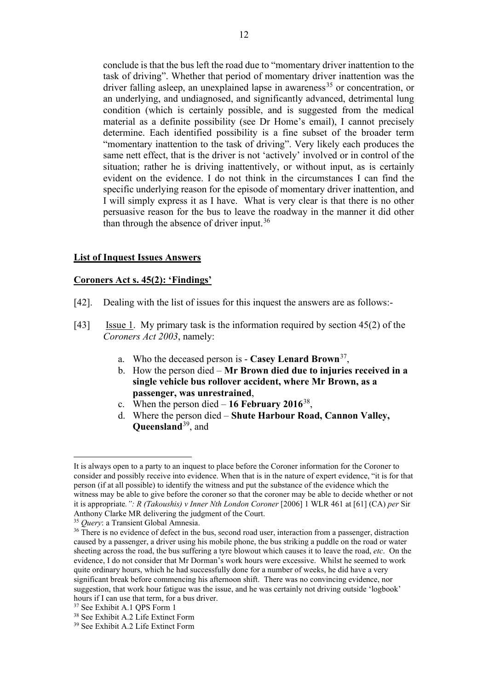conclude is that the bus left the road due to "momentary driver inattention to the task of driving". Whether that period of momentary driver inattention was the driver falling asleep, an unexplained lapse in awareness<sup>[35](#page-11-0)</sup> or concentration, or an underlying, and undiagnosed, and significantly advanced, detrimental lung condition (which is certainly possible, and is suggested from the medical material as a definite possibility (see Dr Home's email), I cannot precisely determine. Each identified possibility is a fine subset of the broader term "momentary inattention to the task of driving". Very likely each produces the same nett effect, that is the driver is not 'actively' involved or in control of the situation; rather he is driving inattentively, or without input, as is certainly evident on the evidence. I do not think in the circumstances I can find the specific underlying reason for the episode of momentary driver inattention, and I will simply express it as I have. What is very clear is that there is no other persuasive reason for the bus to leave the roadway in the manner it did other than through the absence of driver input.<sup>36</sup>

#### **List of Inquest Issues Answers**

#### **Coroners Act s. 45(2): 'Findings'**

- [42]. Dealing with the list of issues for this inquest the answers are as follows:-
- [43] Issue 1. My primary task is the information required by section 45(2) of the *Coroners Act 2003*, namely:
	- a. Who the deceased person is **Casey Lenard Brown**[37](#page-11-2),
	- b. How the person died **Mr Brown died due to injuries received in a single vehicle bus rollover accident, where Mr Brown, as a passenger, was unrestrained**,
	- c. When the person died **16 February 2016**[38](#page-11-3),
	- d. Where the person died **Shute Harbour Road, Cannon Valley, Queensland**[39](#page-11-4), and

It is always open to a party to an inquest to place before the Coroner information for the Coroner to consider and possibly receive into evidence. When that is in the nature of expert evidence, "it is for that person (if at all possible) to identify the witness and put the substance of the evidence which the witness may be able to give before the coroner so that the coroner may be able to decide whether or not it is appropriate*.": R (Takoushis) v Inner Nth London Coroner* [2006] 1 WLR 461 at [61] (CA) *per* Sir Anthony Clarke MR delivering the judgment of the Court.

<span id="page-11-0"></span><sup>35</sup> *Query*: a Transient Global Amnesia.

<span id="page-11-1"></span><sup>&</sup>lt;sup>36</sup> There is no evidence of defect in the bus, second road user, interaction from a passenger, distraction caused by a passenger, a driver using his mobile phone, the bus striking a puddle on the road or water sheeting across the road, the bus suffering a tyre blowout which causes it to leave the road, *etc*. On the evidence, I do not consider that Mr Dorman's work hours were excessive. Whilst he seemed to work quite ordinary hours, which he had successfully done for a number of weeks, he did have a very significant break before commencing his afternoon shift. There was no convincing evidence, nor suggestion, that work hour fatigue was the issue, and he was certainly not driving outside 'logbook' hours if I can use that term, for a bus driver.

<span id="page-11-3"></span><span id="page-11-2"></span><sup>37</sup> See Exhibit A.1 QPS Form 1

<sup>38</sup> See Exhibit A.2 Life Extinct Form

<span id="page-11-4"></span><sup>39</sup> See Exhibit A.2 Life Extinct Form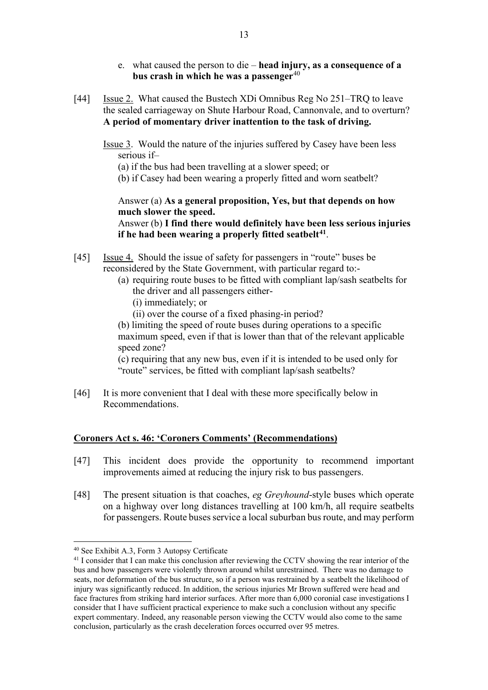- e. what caused the person to die **head injury, as a consequence of a bus crash in which he was a passenger**[40](#page-12-0)
- [44] Issue 2. What caused the Bustech XDi Omnibus Reg No 251–TRQ to leave the sealed carriageway on Shute Harbour Road, Cannonvale, and to overturn? **A period of momentary driver inattention to the task of driving.**
	- Issue 3. Would the nature of the injuries suffered by Casey have been less serious if–

(a) if the bus had been travelling at a slower speed; or

(b) if Casey had been wearing a properly fitted and worn seatbelt?

Answer (a) **As a general proposition, Yes, but that depends on how much slower the speed.**

Answer (b) **I find there would definitely have been less serious injuries if he had been wearing a properly fitted seatbelt[41](#page-12-1)**.

- [45] Issue 4. Should the issue of safety for passengers in "route" buses be reconsidered by the State Government, with particular regard to:-
	- (a) requiring route buses to be fitted with compliant lap/sash seatbelts for the driver and all passengers either-
		- (i) immediately; or
		- (ii) over the course of a fixed phasing-in period?

(b) limiting the speed of route buses during operations to a specific maximum speed, even if that is lower than that of the relevant applicable speed zone?

(c) requiring that any new bus, even if it is intended to be used only for "route" services, be fitted with compliant lap/sash seatbelts?

[46] It is more convenient that I deal with these more specifically below in Recommendations.

#### **Coroners Act s. 46: 'Coroners Comments' (Recommendations)**

- [47] This incident does provide the opportunity to recommend important improvements aimed at reducing the injury risk to bus passengers.
- [48] The present situation is that coaches, *eg Greyhound*-style buses which operate on a highway over long distances travelling at 100 km/h, all require seatbelts for passengers. Route buses service a local suburban bus route, and may perform

<span id="page-12-0"></span><sup>40</sup> See Exhibit A.3, Form 3 Autopsy Certificate

<span id="page-12-1"></span><sup>&</sup>lt;sup>41</sup> I consider that I can make this conclusion after reviewing the CCTV showing the rear interior of the bus and how passengers were violently thrown around whilst unrestrained. There was no damage to seats, nor deformation of the bus structure, so if a person was restrained by a seatbelt the likelihood of injury was significantly reduced. In addition, the serious injuries Mr Brown suffered were head and face fractures from striking hard interior surfaces. After more than 6,000 coronial case investigations I consider that I have sufficient practical experience to make such a conclusion without any specific expert commentary. Indeed, any reasonable person viewing the CCTV would also come to the same conclusion, particularly as the crash deceleration forces occurred over 95 metres.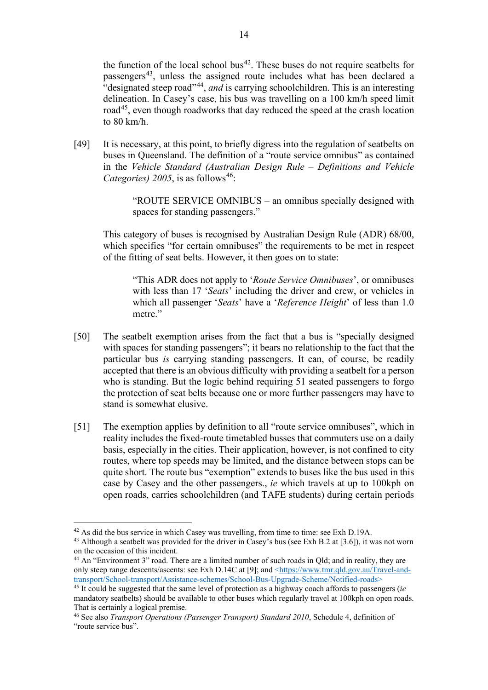the function of the local school bus<sup>[42](#page-13-0)</sup>. These buses do not require seatbelts for passengers<sup>43</sup>, unless the assigned route includes what has been declared a "designated steep road"[44](#page-13-2), *and* is carrying schoolchildren. This is an interesting delineation. In Casey's case, his bus was travelling on a 100 km/h speed limit road<sup>[45](#page-13-3)</sup>, even though roadworks that day reduced the speed at the crash location to 80 km/h.

[49] It is necessary, at this point, to briefly digress into the regulation of seatbelts on buses in Queensland. The definition of a "route service omnibus" as contained in the *Vehicle Standard (Australian Design Rule – Definitions and Vehicle Categories)* 2005, is as follows<sup>[46](#page-13-4)</sup>:

> "ROUTE SERVICE OMNIBUS – an omnibus specially designed with spaces for standing passengers."

This category of buses is recognised by Australian Design Rule (ADR) 68/00, which specifies "for certain omnibuses" the requirements to be met in respect of the fitting of seat belts. However, it then goes on to state:

"This ADR does not apply to '*Route Service Omnibuses*', or omnibuses with less than 17 '*Seats*' including the driver and crew, or vehicles in which all passenger '*Seats*' have a '*Reference Height*' of less than 1.0 metre."

- [50] The seatbelt exemption arises from the fact that a bus is "specially designed with spaces for standing passengers"; it bears no relationship to the fact that the particular bus *is* carrying standing passengers. It can, of course, be readily accepted that there is an obvious difficulty with providing a seatbelt for a person who is standing. But the logic behind requiring 51 seated passengers to forgo the protection of seat belts because one or more further passengers may have to stand is somewhat elusive.
- [51] The exemption applies by definition to all "route service omnibuses", which in reality includes the fixed-route timetabled busses that commuters use on a daily basis, especially in the cities. Their application, however, is not confined to city routes, where top speeds may be limited, and the distance between stops can be quite short. The route bus "exemption" extends to buses like the bus used in this case by Casey and the other passengers., *ie* which travels at up to 100kph on open roads, carries schoolchildren (and TAFE students) during certain periods

<span id="page-13-0"></span><sup>42</sup> As did the bus service in which Casey was travelling, from time to time: see Exh D.19A.

<span id="page-13-1"></span><sup>43</sup> Although a seatbelt was provided for the driver in Casey's bus (see Exh B.2 at [3.6]), it was not worn on the occasion of this incident.

<span id="page-13-2"></span><sup>44</sup> An "Environment 3" road. There are a limited number of such roads in Qld; and in reality, they are only steep range descents/ascents: see Exh D.14C at [9]; and <https://www.tmr.qld.gov.au/Travel-and-<br>transport/School-transport/Assistance-schemes/School-Bus-Upgrade-Scheme/Notified-roads>

<span id="page-13-3"></span><sup>&</sup>lt;sup>45</sup> It could be suggested that the same level of protection as a highway coach affords to passengers (*ie* mandatory seatbelts) should be available to other buses which regularly travel at 100kph on open roads. That is certainly a logical premise.

<span id="page-13-4"></span><sup>46</sup> See also *Transport Operations (Passenger Transport) Standard 2010*, Schedule 4, definition of "route service bus".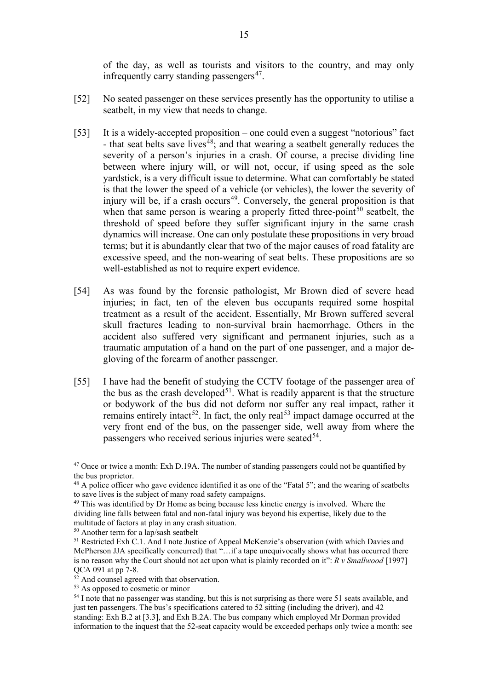of the day, as well as tourists and visitors to the country, and may only infrequently carry standing passengers<sup>47</sup>.

- [52] No seated passenger on these services presently has the opportunity to utilise a seatbelt, in my view that needs to change.
- [53] It is a widely-accepted proposition one could even a suggest "notorious" fact - that seat belts save lives<sup> $\frac{4}{8}$ </sup>; and that wearing a seatbelt generally reduces the severity of a person's injuries in a crash. Of course, a precise dividing line between where injury will, or will not, occur, if using speed as the sole yardstick, is a very difficult issue to determine. What can comfortably be stated is that the lower the speed of a vehicle (or vehicles), the lower the severity of injury will be, if a crash occurs<sup>49</sup>. Conversely, the general proposition is that when that same person is wearing a properly fitted three-point<sup>[50](#page-14-3)</sup> seatbelt, the threshold of speed before they suffer significant injury in the same crash dynamics will increase. One can only postulate these propositions in very broad terms; but it is abundantly clear that two of the major causes of road fatality are excessive speed, and the non-wearing of seat belts. These propositions are so well-established as not to require expert evidence.
- [54] As was found by the forensic pathologist, Mr Brown died of severe head injuries; in fact, ten of the eleven bus occupants required some hospital treatment as a result of the accident. Essentially, Mr Brown suffered several skull fractures leading to non-survival brain haemorrhage. Others in the accident also suffered very significant and permanent injuries, such as a traumatic amputation of a hand on the part of one passenger, and a major degloving of the forearm of another passenger.
- [55] I have had the benefit of studying the CCTV footage of the passenger area of the bus as the crash developed<sup>51</sup>. What is readily apparent is that the structure or bodywork of the bus did not deform nor suffer any real impact, rather it remains entirely intact<sup>[52](#page-14-5)</sup>. In fact, the only real<sup>[53](#page-14-6)</sup> impact damage occurred at the very front end of the bus, on the passenger side, well away from where the passengers who received serious injuries were seated  $54$ .

<span id="page-14-0"></span> $47$  Once or twice a month: Exh D.19A. The number of standing passengers could not be quantified by the bus proprietor.

<span id="page-14-1"></span><sup>&</sup>lt;sup>48</sup> A police officer who gave evidence identified it as one of the "Fatal 5"; and the wearing of seatbelts to save lives is the subject of many road safety campaigns.

<span id="page-14-2"></span><sup>&</sup>lt;sup>49</sup> This was identified by Dr Home as being because less kinetic energy is involved. Where the dividing line falls between fatal and non-fatal injury was beyond his expertise, likely due to the multitude of factors at play in any crash situation.

<span id="page-14-3"></span><sup>50</sup> Another term for a lap/sash seatbelt

<span id="page-14-4"></span><sup>&</sup>lt;sup>51</sup> Restricted Exh C.1. And I note Justice of Appeal McKenzie's observation (with which Davies and McPherson JJA specifically concurred) that "…if a tape unequivocally shows what has occurred there is no reason why the Court should not act upon what is plainly recorded on it": *R v Smallwood* [1997] QCA 091 at pp 7-8.<br><sup>52</sup> And counsel agreed with that observation.

<span id="page-14-6"></span><span id="page-14-5"></span><sup>53</sup> As opposed to cosmetic or minor

<span id="page-14-7"></span><sup>&</sup>lt;sup>54</sup> I note that no passenger was standing, but this is not surprising as there were 51 seats available, and just ten passengers. The bus's specifications catered to 52 sitting (including the driver), and 42 standing: Exh B.2 at [3.3], and Exh B.2A. The bus company which employed Mr Dorman provided information to the inquest that the 52-seat capacity would be exceeded perhaps only twice a month: see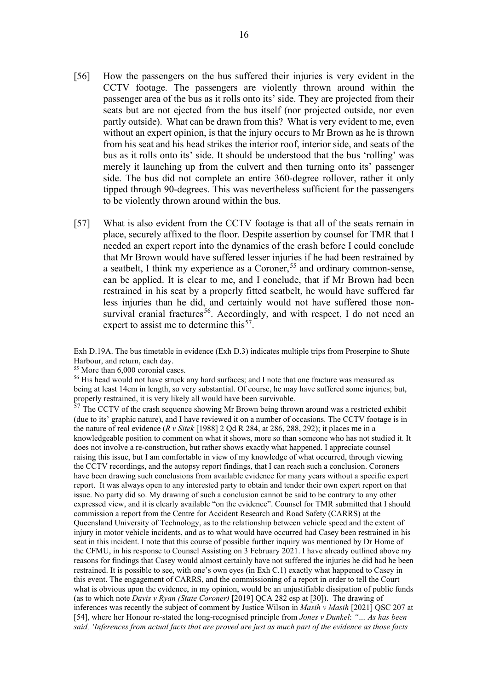- [56] How the passengers on the bus suffered their injuries is very evident in the CCTV footage. The passengers are violently thrown around within the passenger area of the bus as it rolls onto its' side. They are projected from their seats but are not ejected from the bus itself (nor projected outside, nor even partly outside). What can be drawn from this? What is very evident to me, even without an expert opinion, is that the injury occurs to Mr Brown as he is thrown from his seat and his head strikes the interior roof, interior side, and seats of the bus as it rolls onto its' side. It should be understood that the bus 'rolling' was merely it launching up from the culvert and then turning onto its' passenger side. The bus did not complete an entire 360-degree rollover, rather it only tipped through 90-degrees. This was nevertheless sufficient for the passengers to be violently thrown around within the bus.
- [57] What is also evident from the CCTV footage is that all of the seats remain in place, securely affixed to the floor. Despite assertion by counsel for TMR that I needed an expert report into the dynamics of the crash before I could conclude that Mr Brown would have suffered lesser injuries if he had been restrained by a seatbelt. I think my experience as a Coroner,  $55$  and ordinary common-sense, can be applied. It is clear to me, and I conclude, that if Mr Brown had been restrained in his seat by a properly fitted seatbelt, he would have suffered far less injuries than he did, and certainly would not have suffered those non-survival cranial fractures<sup>[56](#page-15-1)</sup>. Accordingly, and with respect, I do not need an expert to assist me to determine this<sup>[57](#page-15-2)</sup>.

Exh D.19A. The bus timetable in evidence (Exh D.3) indicates multiple trips from Proserpine to Shute Harbour, and return, each day.

<sup>55</sup> More than 6,000 coronial cases.

<span id="page-15-1"></span><span id="page-15-0"></span><sup>&</sup>lt;sup>56</sup> His head would not have struck any hard surfaces; and I note that one fracture was measured as being at least 14cm in length, so very substantial. Of course, he may have suffered some injuries; but, properly restrained, it is very likely all would have been survivable.

<span id="page-15-2"></span> $57$  The CCTV of the crash sequence showing Mr Brown being thrown around was a restricted exhibit (due to its' graphic nature), and I have reviewed it on a number of occasions. The CCTV footage is in the nature of real evidence (*R v Sitek* [1988] 2 Qd R 284, at 286, 288, 292); it places me in a knowledgeable position to comment on what it shows, more so than someone who has not studied it. It does not involve a re-construction, but rather shows exactly what happened. I appreciate counsel raising this issue, but I am comfortable in view of my knowledge of what occurred, through viewing the CCTV recordings, and the autopsy report findings, that I can reach such a conclusion. Coroners have been drawing such conclusions from available evidence for many years without a specific expert report. It was always open to any interested party to obtain and tender their own expert report on that issue. No party did so. My drawing of such a conclusion cannot be said to be contrary to any other expressed view, and it is clearly available "on the evidence". Counsel for TMR submitted that I should commission a report from the Centre for Accident Research and Road Safety (CARRS) at the Queensland University of Technology, as to the relationship between vehicle speed and the extent of injury in motor vehicle incidents, and as to what would have occurred had Casey been restrained in his seat in this incident. I note that this course of possible further inquiry was mentioned by Dr Home of the CFMU, in his response to Counsel Assisting on 3 February 2021. I have already outlined above my reasons for findings that Casey would almost certainly have not suffered the injuries he did had he been restrained. It is possible to see, with one's own eyes (in Exh C.1) exactly what happened to Casey in this event. The engagement of CARRS, and the commissioning of a report in order to tell the Court what is obvious upon the evidence, in my opinion, would be an unjustifiable dissipation of public funds (as to which note *Davis v Ryan (State Coroner)* [2019] QCA 282 esp at [30]). The drawing of inferences was recently the subject of comment by Justice Wilson in *Masih v Masih* [2021] QSC 207 at [54], where her Honour re-stated the long-recognised principle from *Jones v Dunkel*: *"… As has been said, 'Inferences from actual facts that are proved are just as much part of the evidence as those facts*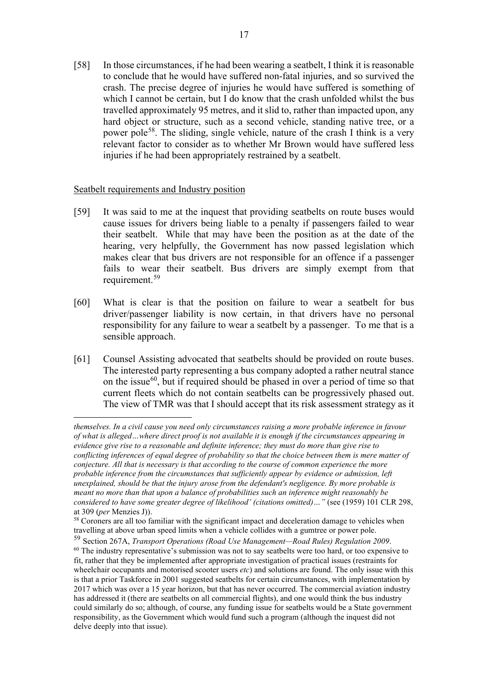[58] In those circumstances, if he had been wearing a seatbelt, I think it is reasonable to conclude that he would have suffered non-fatal injuries, and so survived the crash. The precise degree of injuries he would have suffered is something of which I cannot be certain, but I do know that the crash unfolded whilst the bus travelled approximately 95 metres, and it slid to, rather than impacted upon, any hard object or structure, such as a second vehicle, standing native tree, or a power pole[58](#page-16-0). The sliding, single vehicle, nature of the crash I think is a very relevant factor to consider as to whether Mr Brown would have suffered less injuries if he had been appropriately restrained by a seatbelt.

## Seatbelt requirements and Industry position

- [59] It was said to me at the inquest that providing seatbelts on route buses would cause issues for drivers being liable to a penalty if passengers failed to wear their seatbelt. While that may have been the position as at the date of the hearing, very helpfully, the Government has now passed legislation which makes clear that bus drivers are not responsible for an offence if a passenger fails to wear their seatbelt. Bus drivers are simply exempt from that requirement.[59](#page-16-1)
- [60] What is clear is that the position on failure to wear a seatbelt for bus driver/passenger liability is now certain, in that drivers have no personal responsibility for any failure to wear a seatbelt by a passenger. To me that is a sensible approach.
- [61] Counsel Assisting advocated that seatbelts should be provided on route buses. The interested party representing a bus company adopted a rather neutral stance on the issue $^{60}$ , but if required should be phased in over a period of time so that current fleets which do not contain seatbelts can be progressively phased out. The view of TMR was that I should accept that its risk assessment strategy as it

*themselves. In a civil cause you need only circumstances raising a more probable inference in favour of what is alleged…where direct proof is not available it is enough if the circumstances appearing in evidence give rise to a reasonable and definite inference; they must do more than give rise to conflicting inferences of equal degree of probability so that the choice between them is mere matter of conjecture. All that is necessary is that according to the course of common experience the more probable inference from the circumstances that sufficiently appear by evidence or admission, left unexplained, should be that the injury arose from the defendant's negligence. By more probable is meant no more than that upon a balance of probabilities such an inference might reasonably be considered to have some greater degree of likelihood' (citations omitted)…"* (see (1959) 101 CLR 298, at 309 (*per* Menzies J)).

<span id="page-16-0"></span><sup>&</sup>lt;sup>58</sup> Coroners are all too familiar with the significant impact and deceleration damage to vehicles when travelling at above urban speed limits when a vehicle collides with a gumtree or power pole.

<span id="page-16-2"></span><span id="page-16-1"></span><sup>59</sup> Section 267A, *Transport Operations (Road Use Management—Road Rules) Regulation 2009*. <sup>60</sup> The industry representative's submission was not to say seatbelts were too hard, or too expensive to fit, rather that they be implemented after appropriate investigation of practical issues (restraints for wheelchair occupants and motorised scooter users *etc*) and solutions are found. The only issue with this is that a prior Taskforce in 2001 suggested seatbelts for certain circumstances, with implementation by 2017 which was over a 15 year horizon, but that has never occurred. The commercial aviation industry has addressed it (there are seatbelts on all commercial flights), and one would think the bus industry could similarly do so; although, of course, any funding issue for seatbelts would be a State government responsibility, as the Government which would fund such a program (although the inquest did not delve deeply into that issue).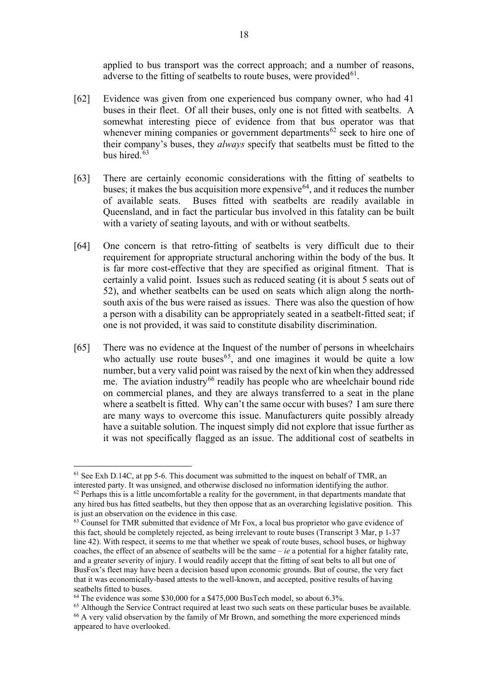applied to bus transport was the correct approach; and a number of reasons, adverse to the fitting of seatbelts to route buses, were provided  $61$ .

- [62] Evidence was given from one experienced bus company owner, who had 41 buses in their fleet. Of all their buses, only one is not fitted with seatbelts. A somewhat interesting piece of evidence from that bus operator was that whenever mining companies or government departments<sup>[62](#page-17-1)</sup> seek to hire one of their company's buses, they *always* specify that seatbelts must be fitted to the bus hired.[63](#page-17-2)
- [63] There are certainly economic considerations with the fitting of seatbelts to buses; it makes the bus acquisition more expensive  $64$ , and it reduces the number of available seats. Buses fitted with seatbelts are readily available in Queensland, and in fact the particular bus involved in this fatality can be built with a variety of seating layouts, and with or without seatbelts.
- [64] One concern is that retro-fitting of seatbelts is very difficult due to their requirement for appropriate structural anchoring within the body of the bus. It is far more cost-effective that they are specified as original fitment. That is certainly a valid point. Issues such as reduced seating (it is about 5 seats out of 52), and whether seatbelts can be used on seats which align along the northsouth axis of the bus were raised as issues. There was also the question of how a person with a disability can be appropriately seated in a seatbelt-fitted seat; if one is not provided, it was said to constitute disability discrimination.
- [65] There was no evidence at the Inquest of the number of persons in wheelchairs who actually use route buses<sup>65</sup>, and one imagines it would be quite a low number, but a very valid point was raised by the next of kin when they addressed me. The aviation industry<sup>[66](#page-17-5)</sup> readily has people who are wheelchair bound ride on commercial planes, and they are always transferred to a seat in the plane where a seatbelt is fitted. Why can't the same occur with buses? I am sure there are many ways to overcome this issue. Manufacturers quite possibly already have a suitable solution. The inquest simply did not explore that issue further as it was not specifically flagged as an issue. The additional cost of seatbelts in

<span id="page-17-0"></span> $61$  See Exh D.14C, at pp 5-6. This document was submitted to the inquest on behalf of TMR, an interested party. It was unsigned, and otherwise disclosed no information identifying the author.

<span id="page-17-1"></span> $62$  Perhaps this is a little uncomfortable a reality for the government, in that departments mandate that any hired bus has fitted seatbelts, but they then oppose that as an overarching legislative position. This is just an observation on the evidence in this case.

<span id="page-17-2"></span> $<sup>63</sup>$  Counsel for TMR submitted that evidence of Mr Fox, a local bus proprietor who gave evidence of</sup> this fact, should be completely rejected, as being irrelevant to route buses (Transcript 3 Mar, p 1-37 line 42). With respect, it seems to me that whether we speak of route buses, school buses, or highway coaches, the effect of an absence of seatbelts will be the same – *ie* a potential for a higher fatality rate, and a greater severity of injury. I would readily accept that the fitting of seat belts to all but one of BusFox's fleet may have been a decision based upon economic grounds. But of course, the very fact that it was economically-based attests to the well-known, and accepted, positive results of having seatbelts fitted to buses.

<span id="page-17-3"></span><sup>&</sup>lt;sup>64</sup> The evidence was some \$30,000 for a \$475,000 BusTech model, so about 6.3%.

<span id="page-17-5"></span><span id="page-17-4"></span><sup>&</sup>lt;sup>65</sup> Although the Service Contract required at least two such seats on these particular buses be available. <sup>66</sup> A very valid observation by the family of Mr Brown, and something the more experienced minds appeared to have overlooked.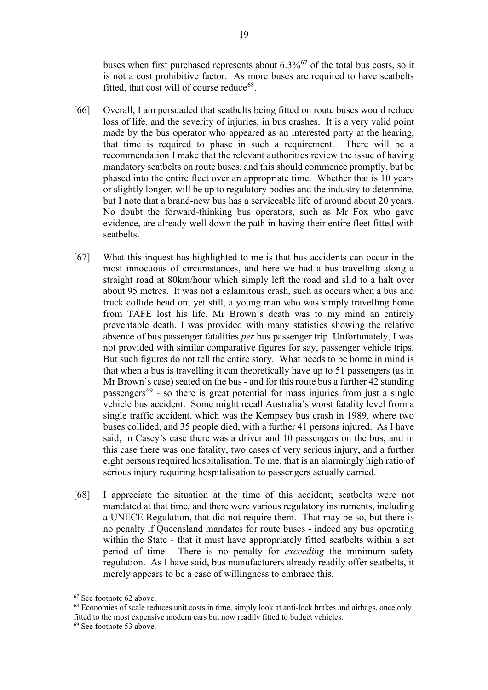buses when first purchased represents about 6.3%[67](#page-18-0) of the total bus costs, so it is not a cost prohibitive factor. As more buses are required to have seatbelts fitted, that cost will of course reduce  $68$ .

- [66] Overall, I am persuaded that seatbelts being fitted on route buses would reduce loss of life, and the severity of injuries, in bus crashes. It is a very valid point made by the bus operator who appeared as an interested party at the hearing, that time is required to phase in such a requirement. There will be a recommendation I make that the relevant authorities review the issue of having mandatory seatbelts on route buses, and this should commence promptly, but be phased into the entire fleet over an appropriate time. Whether that is 10 years or slightly longer, will be up to regulatory bodies and the industry to determine, but I note that a brand-new bus has a serviceable life of around about 20 years. No doubt the forward-thinking bus operators, such as Mr Fox who gave evidence, are already well down the path in having their entire fleet fitted with seatbelts.
- [67] What this inquest has highlighted to me is that bus accidents can occur in the most innocuous of circumstances, and here we had a bus travelling along a straight road at 80km/hour which simply left the road and slid to a halt over about 95 metres. It was not a calamitous crash, such as occurs when a bus and truck collide head on; yet still, a young man who was simply travelling home from TAFE lost his life. Mr Brown's death was to my mind an entirely preventable death. I was provided with many statistics showing the relative absence of bus passenger fatalities *per* bus passenger trip. Unfortunately, I was not provided with similar comparative figures for say, passenger vehicle trips. But such figures do not tell the entire story. What needs to be borne in mind is that when a bus is travelling it can theoretically have up to 51 passengers (as in Mr Brown's case) seated on the bus - and for this route bus a further 42 standing passengers<sup>[69](#page-18-2)</sup> - so there is great potential for mass injuries from just a single vehicle bus accident. Some might recall Australia's worst fatality level from a single traffic accident, which was the Kempsey bus crash in 1989, where two buses collided, and 35 people died, with a further 41 persons injured. As I have said, in Casey's case there was a driver and 10 passengers on the bus, and in this case there was one fatality, two cases of very serious injury, and a further eight persons required hospitalisation. To me, that is an alarmingly high ratio of serious injury requiring hospitalisation to passengers actually carried.
- [68] I appreciate the situation at the time of this accident; seatbelts were not mandated at that time, and there were various regulatory instruments, including a UNECE Regulation, that did not require them. That may be so, but there is no penalty if Queensland mandates for route buses - indeed any bus operating within the State - that it must have appropriately fitted seatbelts within a set period of time. There is no penalty for *exceeding* the minimum safety regulation. As I have said, bus manufacturers already readily offer seatbelts, it merely appears to be a case of willingness to embrace this.

<span id="page-18-0"></span><sup>67</sup> See footnote 62 above.

<span id="page-18-1"></span><sup>&</sup>lt;sup>68</sup> Economies of scale reduces unit costs in time, simply look at anti-lock brakes and airbags, once only fitted to the most expensive modern cars but now readily fitted to budget vehicles.

<span id="page-18-2"></span><sup>69</sup> See footnote 53 above.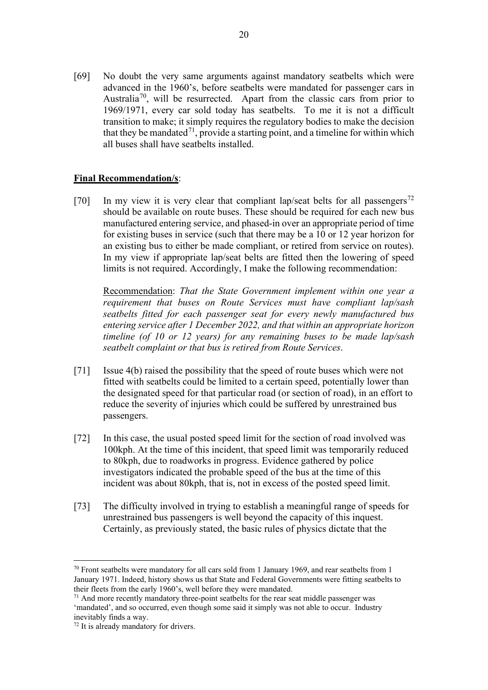[69] No doubt the very same arguments against mandatory seatbelts which were advanced in the 1960's, before seatbelts were mandated for passenger cars in Australia<sup>70</sup>, will be resurrected. Apart from the classic cars from prior to 1969/1971, every car sold today has seatbelts. To me it is not a difficult transition to make; it simply requires the regulatory bodies to make the decision that they be mandated<sup>[71](#page-19-1)</sup>, provide a starting point, and a timeline for within which all buses shall have seatbelts installed.

## **Final Recommendation/s**:

[70] In my view it is very clear that compliant lap/seat belts for all passengers<sup>[72](#page-19-2)</sup> should be available on route buses. These should be required for each new bus manufactured entering service, and phased-in over an appropriate period of time for existing buses in service (such that there may be a 10 or 12 year horizon for an existing bus to either be made compliant, or retired from service on routes). In my view if appropriate lap/seat belts are fitted then the lowering of speed limits is not required. Accordingly, I make the following recommendation:

Recommendation: *That the State Government implement within one year a requirement that buses on Route Services must have compliant lap/sash seatbelts fitted for each passenger seat for every newly manufactured bus entering service after 1 December 2022, and that within an appropriate horizon timeline (of 10 or 12 years) for any remaining buses to be made lap/sash seatbelt complaint or that bus is retired from Route Services*.

- [71] Issue 4(b) raised the possibility that the speed of route buses which were not fitted with seatbelts could be limited to a certain speed, potentially lower than the designated speed for that particular road (or section of road), in an effort to reduce the severity of injuries which could be suffered by unrestrained bus passengers.
- [72] In this case, the usual posted speed limit for the section of road involved was 100kph. At the time of this incident, that speed limit was temporarily reduced to 80kph, due to roadworks in progress. Evidence gathered by police investigators indicated the probable speed of the bus at the time of this incident was about 80kph, that is, not in excess of the posted speed limit.
- [73] The difficulty involved in trying to establish a meaningful range of speeds for unrestrained bus passengers is well beyond the capacity of this inquest. Certainly, as previously stated, the basic rules of physics dictate that the

<span id="page-19-0"></span> $70$  Front seatbelts were mandatory for all cars sold from 1 January 1969, and rear seatbelts from 1 January 1971. Indeed, history shows us that State and Federal Governments were fitting seatbelts to their fleets from the early 1960's, well before they were mandated.

<span id="page-19-1"></span> $1/1$  And more recently mandatory three-point seatbelts for the rear seat middle passenger was 'mandated', and so occurred, even though some said it simply was not able to occur. Industry inevitably finds a way.

<span id="page-19-2"></span><sup>72</sup> It is already mandatory for drivers.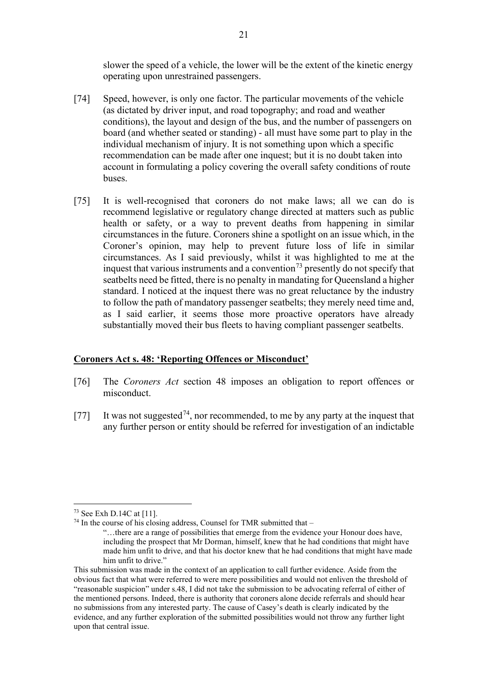slower the speed of a vehicle, the lower will be the extent of the kinetic energy operating upon unrestrained passengers.

- [74] Speed, however, is only one factor. The particular movements of the vehicle (as dictated by driver input, and road topography; and road and weather conditions), the layout and design of the bus, and the number of passengers on board (and whether seated or standing) - all must have some part to play in the individual mechanism of injury. It is not something upon which a specific recommendation can be made after one inquest; but it is no doubt taken into account in formulating a policy covering the overall safety conditions of route buses.
- [75] It is well-recognised that coroners do not make laws; all we can do is recommend legislative or regulatory change directed at matters such as public health or safety, or a way to prevent deaths from happening in similar circumstances in the future. Coroners shine a spotlight on an issue which, in the Coroner's opinion, may help to prevent future loss of life in similar circumstances. As I said previously, whilst it was highlighted to me at the inquest that various instruments and a convention<sup>[73](#page-20-0)</sup> presently do not specify that seatbelts need be fitted, there is no penalty in mandating for Queensland a higher standard. I noticed at the inquest there was no great reluctance by the industry to follow the path of mandatory passenger seatbelts; they merely need time and, as I said earlier, it seems those more proactive operators have already substantially moved their bus fleets to having compliant passenger seatbelts.

#### **Coroners Act s. 48: 'Reporting Offences or Misconduct'**

- [76] The *Coroners Act* section 48 imposes an obligation to report offences or misconduct.
- [77] It was not suggested<sup>[74](#page-20-1)</sup>, nor recommended, to me by any party at the inquest that any further person or entity should be referred for investigation of an indictable

<span id="page-20-0"></span><sup>73</sup> See Exh D.14C at [11].

<span id="page-20-1"></span> $74$  In the course of his closing address, Counsel for TMR submitted that –

<sup>&</sup>quot;…there are a range of possibilities that emerge from the evidence your Honour does have, including the prospect that Mr Dorman, himself, knew that he had conditions that might have made him unfit to drive, and that his doctor knew that he had conditions that might have made him unfit to drive."

This submission was made in the context of an application to call further evidence. Aside from the obvious fact that what were referred to were mere possibilities and would not enliven the threshold of "reasonable suspicion" under s.48, I did not take the submission to be advocating referral of either of the mentioned persons. Indeed, there is authority that coroners alone decide referrals and should hear no submissions from any interested party. The cause of Casey's death is clearly indicated by the evidence, and any further exploration of the submitted possibilities would not throw any further light upon that central issue.